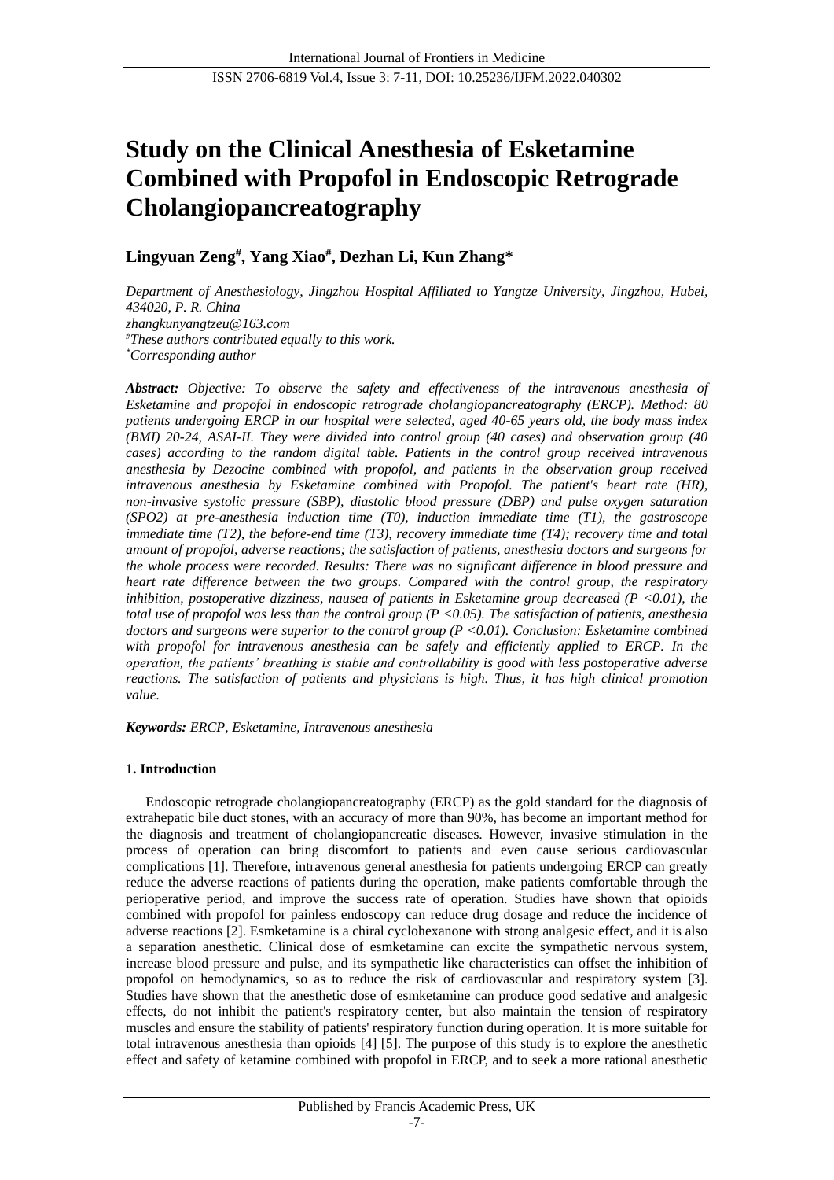# **Study on the Clinical Anesthesia of Esketamine Combined with Propofol in Endoscopic Retrograde Cholangiopancreatography**

## **Lingyuan Zeng# , Yang Xiao# , Dezhan Li, Kun Zhang\***

*Department of Anesthesiology, Jingzhou Hospital Affiliated to Yangtze University, Jingzhou, Hubei, 434020, P. R. China zhangkunyangtzeu@163.com #These authors contributed equally to this work. \*Corresponding author*

*Abstract: Objective: To observe the safety and effectiveness of the intravenous anesthesia of Esketamine and propofol in endoscopic retrograde cholangiopancreatography (ERCP). Method: 80 patients undergoing ERCP in our hospital were selected, aged 40-65 years old, the body mass index (BMI) 20-24, ASAI-II. They were divided into control group (40 cases) and observation group (40 cases) according to the random digital table. Patients in the control group received intravenous anesthesia by Dezocine combined with propofol, and patients in the observation group received intravenous anesthesia by Esketamine combined with Propofol. The patient's heart rate (HR), non-invasive systolic pressure (SBP), diastolic blood pressure (DBP) and pulse oxygen saturation (SPO2) at pre-anesthesia induction time (T0), induction immediate time (T1), the gastroscope immediate time (T2), the before-end time (T3), recovery immediate time (T4); recovery time and total amount of propofol, adverse reactions; the satisfaction of patients, anesthesia doctors and surgeons for the whole process were recorded. Results: There was no significant difference in blood pressure and heart rate difference between the two groups. Compared with the control group, the respiratory inhibition, postoperative dizziness, nausea of patients in Esketamine group decreased (P <0.01), the total use of propofol was less than the control group (P <0.05). The satisfaction of patients, anesthesia doctors and surgeons were superior to the control group (P <0.01). Conclusion: Esketamine combined*  with propofol for intravenous anesthesia can be safely and efficiently applied to ERCP. In the *operation, the patients' breathing is stable and controllability is good with less postoperative adverse reactions. The satisfaction of patients and physicians is high. Thus, it has high clinical promotion value.*

*Keywords: ERCP, Esketamine, Intravenous anesthesia*

## **1. Introduction**

Endoscopic retrograde cholangiopancreatography (ERCP) as the gold standard for the diagnosis of extrahepatic bile duct stones, with an accuracy of more than 90%, has become an important method for the diagnosis and treatment of cholangiopancreatic diseases. However, invasive stimulation in the process of operation can bring discomfort to patients and even cause serious cardiovascular complications [1]. Therefore, intravenous general anesthesia for patients undergoing ERCP can greatly reduce the adverse reactions of patients during the operation, make patients comfortable through the perioperative period, and improve the success rate of operation. Studies have shown that opioids combined with propofol for painless endoscopy can reduce drug dosage and reduce the incidence of adverse reactions [2]. Esmketamine is a chiral cyclohexanone with strong analgesic effect, and it is also a separation anesthetic. Clinical dose of esmketamine can excite the sympathetic nervous system, increase blood pressure and pulse, and its sympathetic like characteristics can offset the inhibition of propofol on hemodynamics, so as to reduce the risk of cardiovascular and respiratory system [3]. Studies have shown that the anesthetic dose of esmketamine can produce good sedative and analgesic effects, do not inhibit the patient's respiratory center, but also maintain the tension of respiratory muscles and ensure the stability of patients' respiratory function during operation. It is more suitable for total intravenous anesthesia than opioids [4] [5]. The purpose of this study is to explore the anesthetic effect and safety of ketamine combined with propofol in ERCP, and to seek a more rational anesthetic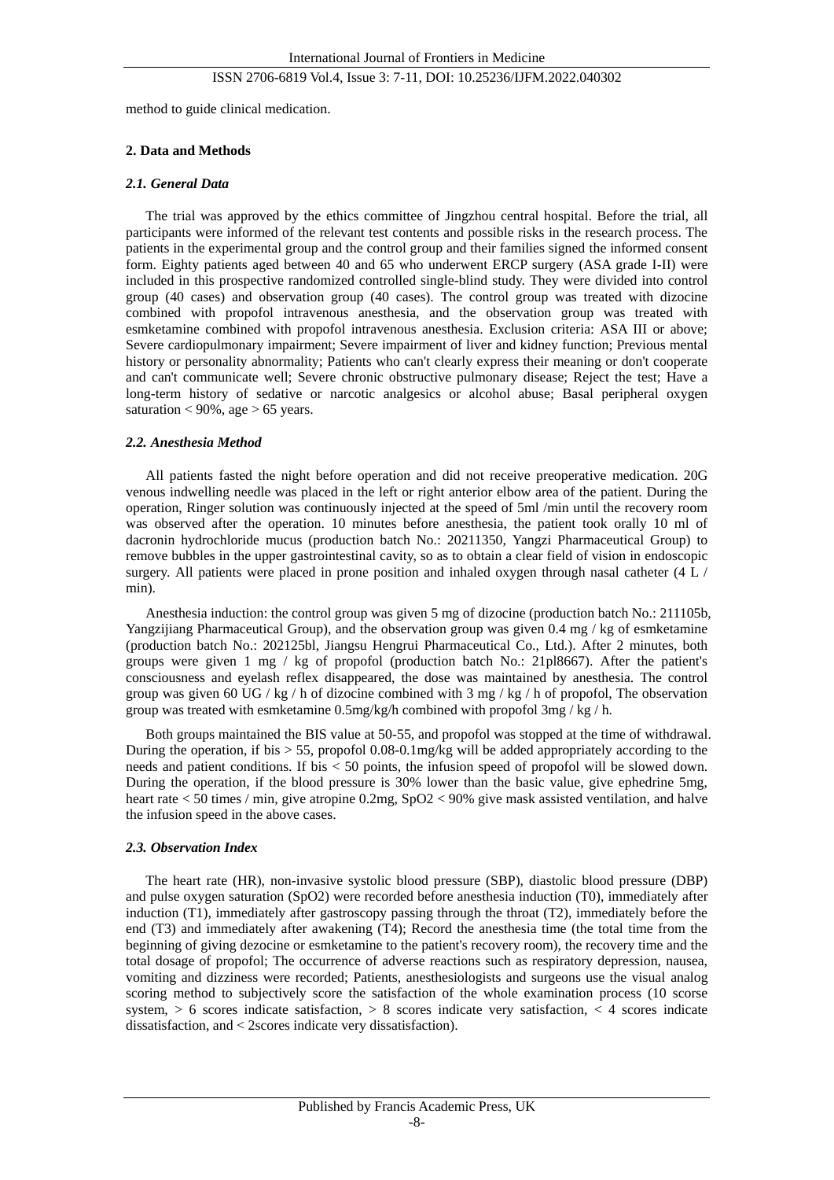method to guide clinical medication.

### **2. Data and Methods**

### *2.1. General Data*

The trial was approved by the ethics committee of Jingzhou central hospital. Before the trial, all participants were informed of the relevant test contents and possible risks in the research process. The patients in the experimental group and the control group and their families signed the informed consent form. Eighty patients aged between 40 and 65 who underwent ERCP surgery (ASA grade I-II) were included in this prospective randomized controlled single-blind study. They were divided into control group (40 cases) and observation group (40 cases). The control group was treated with dizocine combined with propofol intravenous anesthesia, and the observation group was treated with esmketamine combined with propofol intravenous anesthesia. Exclusion criteria: ASA III or above; Severe cardiopulmonary impairment; Severe impairment of liver and kidney function; Previous mental history or personality abnormality; Patients who can't clearly express their meaning or don't cooperate and can't communicate well; Severe chronic obstructive pulmonary disease; Reject the test; Have a long-term history of sedative or narcotic analgesics or alcohol abuse; Basal peripheral oxygen saturation  $< 90\%$ , age  $> 65$  years.

#### *2.2. Anesthesia Method*

All patients fasted the night before operation and did not receive preoperative medication. 20G venous indwelling needle was placed in the left or right anterior elbow area of the patient. During the operation, Ringer solution was continuously injected at the speed of 5ml /min until the recovery room was observed after the operation. 10 minutes before anesthesia, the patient took orally 10 ml of dacronin hydrochloride mucus (production batch No.: 20211350, Yangzi Pharmaceutical Group) to remove bubbles in the upper gastrointestinal cavity, so as to obtain a clear field of vision in endoscopic surgery. All patients were placed in prone position and inhaled oxygen through nasal catheter (4 L / min).

Anesthesia induction: the control group was given 5 mg of dizocine (production batch No.: 211105b, Yangzijiang Pharmaceutical Group), and the observation group was given 0.4 mg / kg of esmketamine (production batch No.: 202125bl, Jiangsu Hengrui Pharmaceutical Co., Ltd.). After 2 minutes, both groups were given  $1 \text{ mg}$  / kg of propofol (production batch No.: 21pl8667). After the patient's consciousness and eyelash reflex disappeared, the dose was maintained by anesthesia. The control group was given 60 UG / kg / h of dizocine combined with 3 mg / kg / h of propofol, The observation group was treated with esmketamine 0.5mg/kg/h combined with propofol 3mg / kg / h.

Both groups maintained the BIS value at 50-55, and propofol was stopped at the time of withdrawal. During the operation, if bis > 55, propofol 0.08-0.1mg/kg will be added appropriately according to the needs and patient conditions. If bis < 50 points, the infusion speed of propofol will be slowed down. During the operation, if the blood pressure is 30% lower than the basic value, give ephedrine 5mg, heart rate < 50 times / min, give atropine 0.2mg, SpO2 < 90% give mask assisted ventilation, and halve the infusion speed in the above cases.

#### *2.3. Observation Index*

The heart rate (HR), non-invasive systolic blood pressure (SBP), diastolic blood pressure (DBP) and pulse oxygen saturation (SpO2) were recorded before anesthesia induction (T0), immediately after induction (T1), immediately after gastroscopy passing through the throat (T2), immediately before the end (T3) and immediately after awakening (T4); Record the anesthesia time (the total time from the beginning of giving dezocine or esmketamine to the patient's recovery room), the recovery time and the total dosage of propofol; The occurrence of adverse reactions such as respiratory depression, nausea, vomiting and dizziness were recorded; Patients, anesthesiologists and surgeons use the visual analog scoring method to subjectively score the satisfaction of the whole examination process (10 scorse system,  $> 6$  scores indicate satisfaction,  $> 8$  scores indicate very satisfaction,  $< 4$  scores indicate dissatisfaction, and < 2scores indicate very dissatisfaction).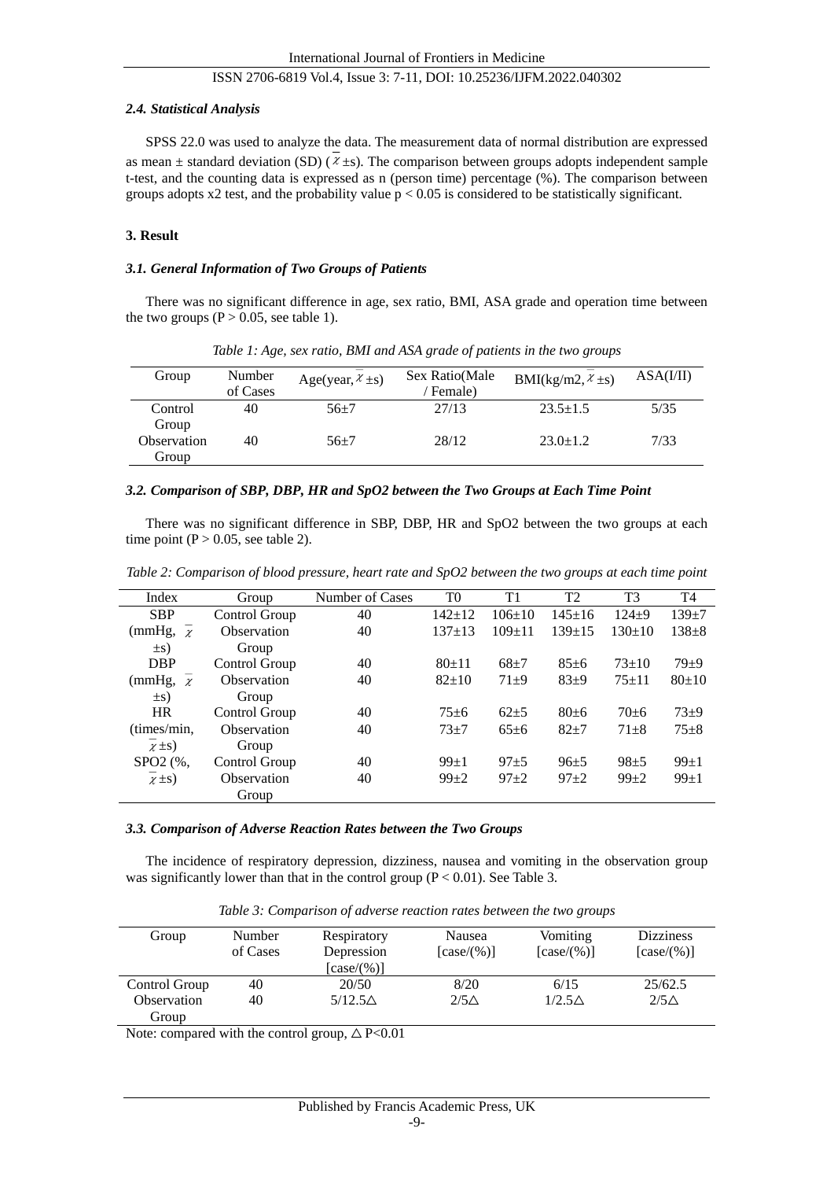## *2.4. Statistical Analysis*

SPSS 22.0 was used to analyze the data. The measurement data of normal distribution are expressed as mean  $\pm$  standard deviation (SD) ( $\chi \pm s$ ). The comparison between groups adopts independent sample t-test, and the counting data is expressed as n (person time) percentage (%). The comparison between groups adopts x2 test, and the probability value  $p < 0.05$  is considered to be statistically significant.

## **3. Result**

## *3.1. General Information of Two Groups of Patients*

There was no significant difference in age, sex ratio, BMI, ASA grade and operation time between the two groups ( $P > 0.05$ , see table 1).

| Group       | Number   | Age(year, $\chi \pm s$ ) | Sex Ratio(Male | BMI(kg/m2, $x \pm s$ ) | ASA(I/II) |
|-------------|----------|--------------------------|----------------|------------------------|-----------|
|             | of Cases |                          | Female)        |                        |           |
| Control     | 40       | $56 + 7$                 | 27/13          | $23.5 \pm 1.5$         | 5/35      |
| Group       |          |                          |                |                        |           |
| Observation | 40       | $56 + 7$                 | 28/12          | $23.0 \pm 1.2$         | 7/33      |
| Group       |          |                          |                |                        |           |

*Table 1: Age, sex ratio, BMI and ASA grade of patients in the two groups*

#### *3.2. Comparison of SBP, DBP, HR and SpO2 between the Two Groups at Each Time Point*

There was no significant difference in SBP, DBP, HR and SpO2 between the two groups at each time point ( $P > 0.05$ , see table 2).

| Index                | Group             | Number of Cases | T0         | T1         | T <sub>2</sub> | T <sub>3</sub> | T4        |
|----------------------|-------------------|-----------------|------------|------------|----------------|----------------|-----------|
| <b>SBP</b>           | Control Group     | 40              | $142 + 12$ | $106+10$   | $145 + 16$     | $124 + 9$      | $139 + 7$ |
| (mmHg,<br>$\chi$     | Observation       | 40              | $137 + 13$ | $109 + 11$ | $139 + 15$     | $130+10$       | $138 + 8$ |
| $\pm s)$             | Group             |                 |            |            |                |                |           |
| <b>DBP</b>           | Control Group     | 40              | $80 + 11$  | $68 + 7$   | $85 + 6$       | $73 + 10$      | $79 + 9$  |
| (mmHg,<br>$\gamma$   | Observation       | 40              | $82 + 10$  | $71 + 9$   | $83+9$         | $75 + 11$      | $80+10$   |
| $\pm s)$             | Group             |                 |            |            |                |                |           |
| <b>HR</b>            | Control Group     | 40              | $75 + 6$   | $62 + 5$   | $80 + 6$       | $70 + 6$       | $73 + 9$  |
| (times/min,          | 40<br>Observation |                 | $73 + 7$   | $65 + 6$   | $82 + 7$       | $71 + 8$       | $75 + 8$  |
| $\chi \pm s$ )       | Group             |                 |            |            |                |                |           |
| SPO <sub>2</sub> (%, | Control Group     | 40              | $99 + 1$   | $97 + 5$   | $96 + 5$       | $98 + 5$       | $99 + 1$  |
| $\chi \pm s$ )       | Observation       | 40              | $99 + 2$   | $97 + 2$   | $97 + 2$       | $99 + 2$       | $99 + 1$  |
|                      | Group             |                 |            |            |                |                |           |

*Table 2: Comparison of blood pressure, heart rate and SpO2 between the two groups at each time point*

#### *3.3. Comparison of Adverse Reaction Rates between the Two Groups*

The incidence of respiratory depression, dizziness, nausea and vomiting in the observation group was significantly lower than that in the control group  $(P < 0.01)$ . See Table 3.

| Group         | Number<br>of Cases | Respiratory<br>Depression<br>[case/(%)] | Nausea<br>[case/(%)] | Vomiting<br>[case/(%)] | <b>Dizziness</b><br>[case/(%)] |
|---------------|--------------------|-----------------------------------------|----------------------|------------------------|--------------------------------|
| Control Group | 40                 | 20/50                                   | 8/20                 | 6/15                   | 25/62.5                        |
| Observation   | 40                 | $5/12.5\triangle$                       | $2/5\triangle$       | $1/2.5\triangle$       | $2/5\triangle$                 |
| Group         |                    |                                         |                      |                        |                                |

*Table 3: Comparison of adverse reaction rates between the two groups*

Note: compared with the control group,  $\triangle P < 0.01$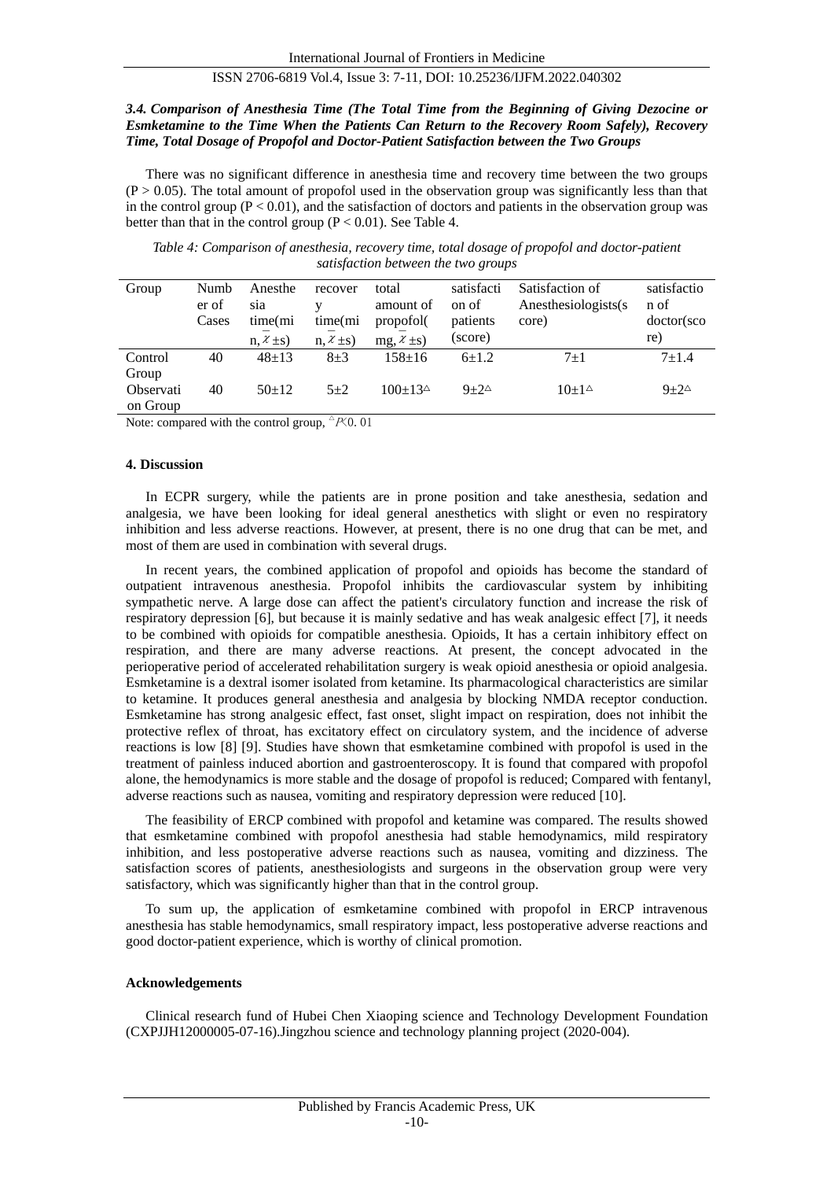## *3.4. Comparison of Anesthesia Time (The Total Time from the Beginning of Giving Dezocine or Esmketamine to the Time When the Patients Can Return to the Recovery Room Safely), Recovery Time, Total Dosage of Propofol and Doctor-Patient Satisfaction between the Two Groups*

There was no significant difference in anesthesia time and recovery time between the two groups  $(P > 0.05)$ . The total amount of propofol used in the observation group was significantly less than that in the control group  $(P < 0.01)$ , and the satisfaction of doctors and patients in the observation group was better than that in the control group  $(P < 0.01)$ . See Table 4.

| Table 4: Comparison of anesthesia, recovery time, total dosage of propofol and doctor-patient |  |  |  |  |  |  |  |
|-----------------------------------------------------------------------------------------------|--|--|--|--|--|--|--|
| satisfaction between the two groups                                                           |  |  |  |  |  |  |  |

| Group            | Numb<br>er of<br>Cases | Anesthe<br>sia<br>time(mi<br>$n, \mathcal{X} \pm s$ | recover<br>time(mi<br>$n, \mathcal{X} \pm s$ | total<br>amount of<br>propofol(<br>$mg, \chi \pm s$ | satisfacti<br>on of<br>patients<br>(score) | Satisfaction of<br>Anesthesiologists(s)<br>core) | satisfactio<br>n of<br>doctor(sco<br>re) |
|------------------|------------------------|-----------------------------------------------------|----------------------------------------------|-----------------------------------------------------|--------------------------------------------|--------------------------------------------------|------------------------------------------|
| Control          | 40                     | $48 + 13$                                           | $8\pm3$                                      | $158 + 16$                                          | $6+1.2$                                    | $7+1$                                            | $7 + 1.4$                                |
| Group            |                        |                                                     |                                              |                                                     |                                            |                                                  |                                          |
| <b>Observati</b> | 40                     | $50+12$                                             | $5 + 2$                                      | $100+134$                                           | $9+2^{\Delta}$                             | $10+1^{\circ}$                                   | $9+2^{\Delta}$                           |
| on Group         |                        |                                                     |                                              |                                                     |                                            |                                                  |                                          |

Note: compared with the control group,  ${}^{\triangle}P\zeta$  0.01

#### **4. Discussion**

In ECPR surgery, while the patients are in prone position and take anesthesia, sedation and analgesia, we have been looking for ideal general anesthetics with slight or even no respiratory inhibition and less adverse reactions. However, at present, there is no one drug that can be met, and most of them are used in combination with several drugs.

In recent years, the combined application of propofol and opioids has become the standard of outpatient intravenous anesthesia. Propofol inhibits the cardiovascular system by inhibiting sympathetic nerve. A large dose can affect the patient's circulatory function and increase the risk of respiratory depression [6], but because it is mainly sedative and has weak analgesic effect [7], it needs to be combined with opioids for compatible anesthesia. Opioids, It has a certain inhibitory effect on respiration, and there are many adverse reactions. At present, the concept advocated in the perioperative period of accelerated rehabilitation surgery is weak opioid anesthesia or opioid analgesia. Esmketamine is a dextral isomer isolated from ketamine. Its pharmacological characteristics are similar to ketamine. It produces general anesthesia and analgesia by blocking NMDA receptor conduction. Esmketamine has strong analgesic effect, fast onset, slight impact on respiration, does not inhibit the protective reflex of throat, has excitatory effect on circulatory system, and the incidence of adverse reactions is low [8] [9]. Studies have shown that esmketamine combined with propofol is used in the treatment of painless induced abortion and gastroenteroscopy. It is found that compared with propofol alone, the hemodynamics is more stable and the dosage of propofol is reduced; Compared with fentanyl, adverse reactions such as nausea, vomiting and respiratory depression were reduced [10].

The feasibility of ERCP combined with propofol and ketamine was compared. The results showed that esmketamine combined with propofol anesthesia had stable hemodynamics, mild respiratory inhibition, and less postoperative adverse reactions such as nausea, vomiting and dizziness. The satisfaction scores of patients, anesthesiologists and surgeons in the observation group were very satisfactory, which was significantly higher than that in the control group.

To sum up, the application of esmketamine combined with propofol in ERCP intravenous anesthesia has stable hemodynamics, small respiratory impact, less postoperative adverse reactions and good doctor-patient experience, which is worthy of clinical promotion.

#### **Acknowledgements**

Clinical research fund of Hubei Chen Xiaoping science and Technology Development Foundation (CXPJJH12000005-07-16).Jingzhou science and technology planning project (2020-004).